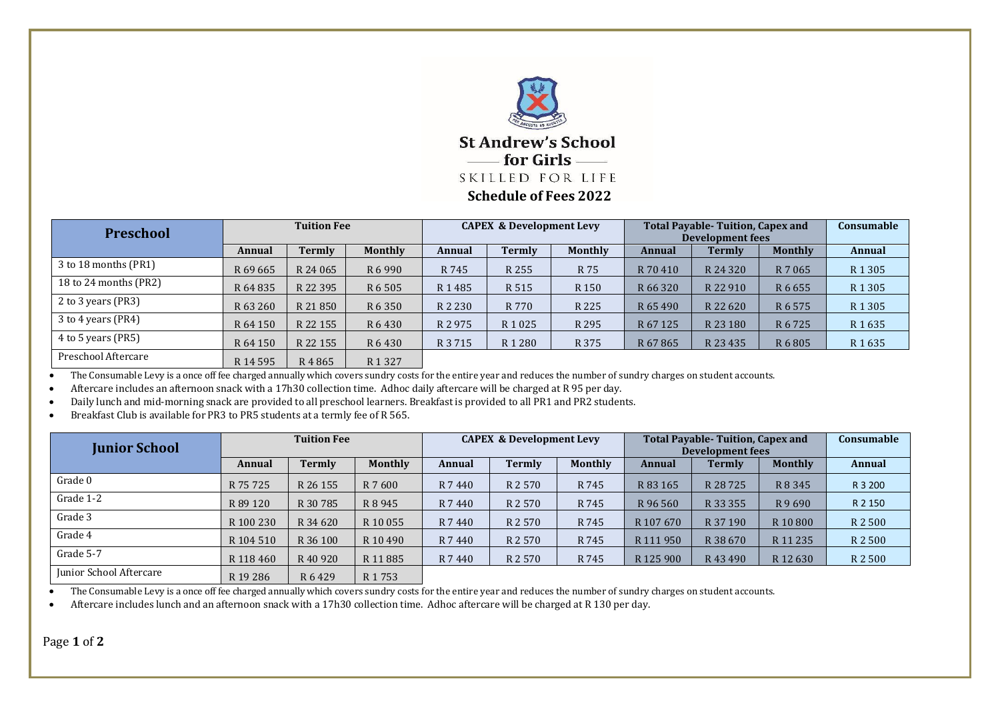

| <b>Preschool</b>      | <b>Tuition Fee</b> |          |                    | <b>CAPEX &amp; Development Levy</b> |                   |                  | <b>Total Payable- Tuition, Capex and</b><br>Development fees |          |                | <b>Consumable</b>  |
|-----------------------|--------------------|----------|--------------------|-------------------------------------|-------------------|------------------|--------------------------------------------------------------|----------|----------------|--------------------|
|                       | Annual             | Termly   | Monthly            | Annual                              | Termly            | <b>Monthly</b>   | Annual                                                       | Termly   | <b>Monthly</b> | Annual             |
| 3 to 18 months (PR1)  | R 69 665           | R 24 065 | R 6 9 9 0          | R 745                               | R 255             | R 75             | R 70 410                                                     | R 24 320 | R 7 065        | R <sub>1</sub> 305 |
| 18 to 24 months (PR2) | R 64 835           | R 22 395 | R 6 505            | R1485                               | R 515             | R <sub>150</sub> | R 66 320                                                     | R 22 910 | R 6 6 5 5      | R <sub>1</sub> 305 |
| 2 to 3 years (PR3)    | R 63 260           | R 21 850 | R 6 350            | R 2 2 3 0                           | R 770             | R 225            | R 65 490                                                     | R 22 620 | R 6 575        | R <sub>1</sub> 305 |
| 3 to 4 years (PR4)    | R 64 150           | R 22 155 | R 6 430            | R 2 975                             | R 1 0 2 5         | R 295            | R 67 125                                                     | R 23 180 | R 6 7 2 5      | R1635              |
| 4 to 5 years (PR5)    | R 64 150           | R 22 155 | R 6 430            | R 3 7 1 5                           | R <sub>1280</sub> | R 375            | R 67 865                                                     | R 23 435 | R 6 805        | R <sub>1</sub> 635 |
| Preschool Aftercare   | R 14 595           | R4865    | R <sub>1</sub> 327 |                                     |                   |                  |                                                              |          |                |                    |

• The Consumable Levy is a once off fee charged annually which covers sundry costs for the entire year and reduces the number of sundry charges on student accounts.

• Aftercare includes an afternoon snack with a 17h30 collection time. Adhoc daily aftercare will be charged at R 95 per day.

• Daily lunch and mid-morning snack are provided to all preschool learners. Breakfast is provided to all PR1 and PR2 students.

• Breakfast Club is available for PR3 to PR5 students at a termly fee of R 565.

| <b>Tuition Fee</b><br><b>Junior School</b> |                     |                    | <b>CAPEX &amp; Development Levy</b> |         |         | <b>Total Payable- Tuition, Capex and</b><br><b>Development fees</b> |                      |               | Consumable     |               |
|--------------------------------------------|---------------------|--------------------|-------------------------------------|---------|---------|---------------------------------------------------------------------|----------------------|---------------|----------------|---------------|
|                                            | Annual              | Termly             | <b>Monthly</b>                      | Annual  | Termly  | <b>Monthly</b>                                                      | Annual               | <b>Termly</b> | <b>Monthly</b> | <b>Annual</b> |
| Grade 0                                    | R 75 725            | R 26 155           | R 7 600                             | R 7 440 | R 2 570 | R 745                                                               | R 83 165             | R 28 7 25     | R 8 3 4 5      | R 3 200       |
| Grade 1-2                                  | R 89 120            | R 30 785           | R 8 9 4 5                           | R 7 440 | R 2 570 | R 745                                                               | R 96 560             | R 33 355      | R9690          | R 2 150       |
| Grade 3                                    | R 100 230           | R 34 620           | R 10 055                            | R 7 440 | R 2 570 | R 745                                                               | R 107 670            | R 37 190      | R 10 800       | R 2 500       |
| Grade 4                                    | R 104 510           | R 36 100           | R 10 490                            | R 7 440 | R 2 570 | R 745                                                               | R 111 950            | R 38 670      | R 11 235       | R 2 500       |
| Grade 5-7                                  | R 118 460           | R 40 920           | R 11 885                            | R 7 440 | R 2 570 | R 745                                                               | R <sub>125</sub> 900 | R 43 490      | R 12 630       | R 2 500       |
| Junior School Aftercare                    | R <sub>19</sub> 286 | R <sub>6</sub> 429 | R <sub>1753</sub>                   |         |         |                                                                     |                      |               |                |               |

• The Consumable Levy is a once off fee charged annually which covers sundry costs for the entire year and reduces the number of sundry charges on student accounts.

• Aftercare includes lunch and an afternoon snack with a 17h30 collection time. Adhoc aftercare will be charged at R 130 per day.